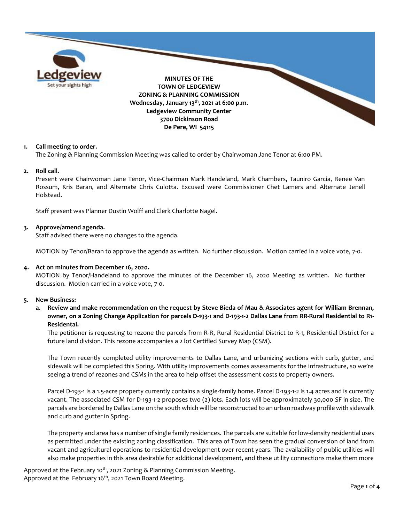

## **1. Call meeting to order.**

The Zoning & Planning Commission Meeting was called to order by Chairwoman Jane Tenor at 6:00 PM.

### **2. Roll call.**

Present were Chairwoman Jane Tenor, Vice-Chairman Mark Handeland, Mark Chambers, Tauniro Garcia, Renee Van Rossum, Kris Baran, and Alternate Chris Culotta. Excused were Commissioner Chet Lamers and Alternate Jenell Holstead.

Staff present was Planner Dustin Wolff and Clerk Charlotte Nagel.

## **3. Approve/amend agenda.**

Staff advised there were no changes to the agenda.

MOTION by Tenor/Baran to approve the agenda as written. No further discussion. Motion carried in a voice vote, 7-0.

### **4. Act on minutes from December 16, 2020.**

MOTION by Tenor/Handeland to approve the minutes of the December 16, 2020 Meeting as written. No further discussion. Motion carried in a voice vote, 7-0.

### **5. New Business:**

# **a. Review and make recommendation on the request by Steve Bieda of Mau & Associates agent for William Brennan, owner, on a Zoning Change Application for parcels D-193-1 and D-193-1-2 Dallas Lane from RR-Rural Residential to R1- Residental.**

The petitioner is requesting to rezone the parcels from R-R, Rural Residential District to R-1, Residential District for a future land division. This rezone accompanies a 2 lot Certified Survey Map (CSM).

The Town recently completed utility improvements to Dallas Lane, and urbanizing sections with curb, gutter, and sidewalk will be completed this Spring. With utility improvements comes assessments for the infrastructure, so we're seeing a trend of rezones and CSMs in the area to help offset the assessment costs to property owners.

Parcel D-193-1 is a 1.5-acre property currently contains a single-family home. Parcel D-193-1-2 is 1.4 acres and is currently vacant. The associated CSM for D-193-1-2 proposes two (2) lots. Each lots will be approximately 30,000 SF in size. The parcels are bordered by Dallas Lane on the south which will be reconstructed to an urban roadway profile with sidewalk and curb and gutter in Spring.

The property and area has a number of single family residences. The parcels are suitable for low-density residential uses as permitted under the existing zoning classification. This area of Town has seen the gradual conversion of land from vacant and agricultural operations to residential development over recent years. The availability of public utilities will also make properties in this area desirable for additional development, and these utility connections make them more

Approved at the February 10<sup>th</sup>, 2021 Zoning & Planning Commission Meeting. Approved at the February 16<sup>th</sup>, 2021 Town Board Meeting.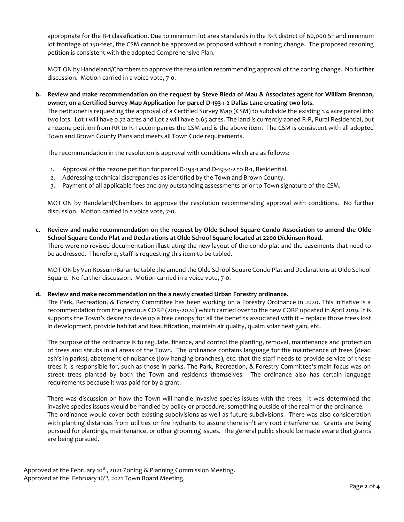appropriate for the R-1 classification. Due to minimum lot area standards in the R-R district of 60,000 SF and minimum lot frontage of 150-feet, the CSM cannot be approved as proposed without a zoning change. The proposed rezoning petition is consistent with the adopted Comprehensive Plan.

MOTION by Handeland/Chambers to approve the resolution recommending approval of the zoning change. No further discussion. Motion carried in a voice vote, 7-0.

**b. Review and make recommendation on the request by Steve Bieda of Mau & Associates agent for William Brennan, owner, on a Certified Survey Map Application for parcel D-193-1-2 Dallas Lane creating two lots.**

The petitioner is requesting the approval of a Certified Survey Map (CSM) to subdivide the existing 1.4 acre parcel into two lots. Lot 1 will have 0.72 acres and Lot 2 will have 0.65 acres. The land is currently zoned R-R, Rural Residential, but a rezone petition from RR to R-1 accompanies the CSM and is the above item. The CSM is consistent with all adopted Town and Brown County Plans and meets all Town Code requirements.

The recommendation in the resolution is approval with conditions which are as follows:

- 1. Approval of the rezone petition for parcel D-193-1 and D-193-1-2 to R-1, Residential.
- 2. Addressing technical discrepancies as identified by the Town and Brown County.
- 3. Payment of all applicable fees and any outstanding assessments prior to Town signature of the CSM.

MOTION by Handeland/Chambers to approve the resolution recommending approval with conditions. No further discussion. Motion carried in a voice vote, 7-0.

**c. Review and make recommendation on the request by Olde School Square Condo Association to amend the Olde School Square Condo Plat and Declarations at Olde School Square located at 2200 Dickinson Road.** There were no revised documentation illustrating the new layout of the condo plat and the easements that need to

be addressed. Therefore, staff is requesting this item to be tabled.

MOTION by Van Rossum/Baran to table the amend the Olde School Square Condo Plat and Declarations at Olde School Square. No further discussion. Motion carried in a voice vote, 7-0.

# **d. Review and make recommendation on the a newly created Urban Forestry ordinance.**

The Park, Recreation, & Forestry Committee has been working on a Forestry Ordinance in 2020. This initiative is a recommendation from the previous CORP (2015-2020) which carried over to the new CORP updated in April 2019. It is supports the Town's desire to develop a tree canopy for all the benefits associated with it – replace those trees lost in development, provide habitat and beautification, maintain air quality, qualm solar heat gain, etc.

The purpose of the ordinance is to regulate, finance, and control the planting, removal, maintenance and protection of trees and shrubs in all areas of the Town. The ordinance contains language for the maintenance of trees (dead ash's in parks), abatement of nuisance (low hanging branches), etc. that the staff needs to provide service of those trees it is responsible for, such as those in parks. The Park, Recreation, & Forestry Committee's main focus was on street trees planted by both the Town and residents themselves. The ordinance also has certain language requirements because it was paid for by a grant.

There was discussion on how the Town will handle invasive species issues with the trees. It was determined the invasive species issues would be handled by policy or procedure, something outside of the realm of the ordinance. The ordinance would cover both existing subdivisions as well as future subdivisions. There was also consideration with planting distances from utilities or fire hydrants to assure there isn't any root interference. Grants are being pursued for plantings, maintenance, or other grooming issues. The general public should be made aware that grants are being pursued.

Approved at the February 10<sup>th</sup>, 2021 Zoning & Planning Commission Meeting. Approved at the February 16<sup>th</sup>, 2021 Town Board Meeting.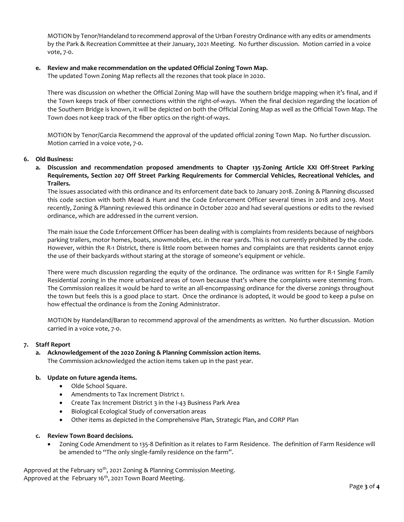MOTION by Tenor/Handeland to recommend approval of the Urban Forestry Ordinance with any edits or amendments by the Park & Recreation Committee at their January, 2021 Meeting. No further discussion. Motion carried in a voice vote, 7-0.

# **e. Review and make recommendation on the updated Official Zoning Town Map.**

The updated Town Zoning Map reflects all the rezones that took place in 2020.

There was discussion on whether the Official Zoning Map will have the southern bridge mapping when it's final, and if the Town keeps track of fiber connections within the right-of-ways. When the final decision regarding the location of the Southern Bridge is known, it will be depicted on both the Official Zoning Map as well as the Official Town Map. The Town does not keep track of the fiber optics on the right-of-ways.

MOTION by Tenor/Garcia Recommend the approval of the updated official zoning Town Map. No further discussion. Motion carried in a voice vote, 7-0.

## **6. Old Business:**

**a. Discussion and recommendation proposed amendments to Chapter 135-Zoning Article XXI Off-Street Parking Requirements, Section 207 Off Street Parking Requirements for Commercial Vehicles, Recreational Vehicles, and Trailers.**

The issues associated with this ordinance and its enforcement date back to January 2018. Zoning & Planning discussed this code section with both Mead & Hunt and the Code Enforcement Officer several times in 2018 and 2019. Most recently, Zoning & Planning reviewed this ordinance in October 2020 and had several questions or edits to the revised ordinance, which are addressed in the current version.

The main issue the Code Enforcement Officer has been dealing with is complaints from residents because of neighbors parking trailers, motor homes, boats, snowmobiles, etc. in the rear yards. This is not currently prohibited by the code. However, within the R-1 District, there is little room between homes and complaints are that residents cannot enjoy the use of their backyards without staring at the storage of someone's equipment or vehicle.

There were much discussion regarding the equity of the ordinance. The ordinance was written for R-1 Single Family Residential zoning in the more urbanized areas of town because that's where the complaints were stemming from. The Commission realizes it would be hard to write an all-encompassing ordinance for the diverse zonings throughout the town but feels this is a good place to start. Once the ordinance is adopted, it would be good to keep a pulse on how effectual the ordinance is from the Zoning Administrator.

MOTION by Handeland/Baran to recommend approval of the amendments as written. No further discussion. Motion carried in a voice vote, 7-0.

### **7. Staff Report**

# **a. Acknowledgement of the 2020 Zoning & Planning Commission action items.** The Commission acknowledged the action items taken up in the past year.

### **b. Update on future agenda items.**

- Olde School Square.
- Amendments to Tax Increment District 1.
- Create Tax Increment District 3 in the I-43 Business Park Area
- Biological Ecological Study of conversation areas
- Other items as depicted in the Comprehensive Plan, Strategic Plan, and CORP Plan

# **c. Review Town Board decisions.**

 Zoning Code Amendment to 135-8 Definition as it relates to Farm Residence. The definition of Farm Residence will be amended to "The only single-family residence on the farm".

Approved at the February 10<sup>th</sup>, 2021 Zoning & Planning Commission Meeting. Approved at the February 16<sup>th</sup>, 2021 Town Board Meeting.